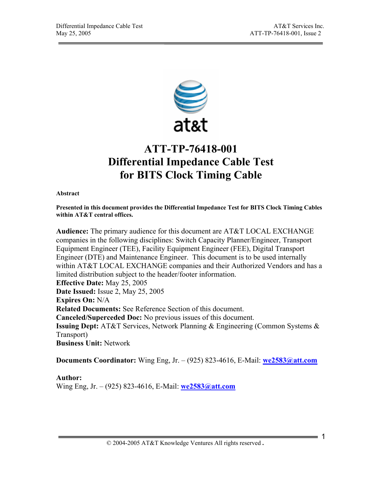

# **ATT-TP-76418-001 Differential Impedance Cable Test for BITS Clock Timing Cable**

**Abstract** 

**Presented in this document provides the Differential Impedance Test for BITS Clock Timing Cables within AT&T central offices.** 

**Audience:** The primary audience for this document are AT&T LOCAL EXCHANGE companies in the following disciplines: Switch Capacity Planner/Engineer, Transport Equipment Engineer (TEE), Facility Equipment Engineer (FEE), Digital Transport Engineer (DTE) and Maintenance Engineer. This document is to be used internally within AT&T LOCAL EXCHANGE companies and their Authorized Vendors and has a limited distribution subject to the header/footer information. **Effective Date:** May 25, 2005 **Date Issued:** Issue 2, May 25, 2005 **Expires On:** N/A **Related Documents:** See Reference Section of this document. **Canceled/Superceded Doc:** No previous issues of this document. **Issuing Dept:** AT&T Services, Network Planning & Engineering (Common Systems & Transport) **Business Unit:** Network

**Documents Coordinator:** Wing Eng, Jr. – (925) 823-4616, E-Mail: **we2583@att.com**

**Author:** 

Wing Eng, Jr. – (925) 823-4616, E-Mail: **we2583@att.com**

© 2004-2005 AT&T Knowledge Ventures All rights reserved **.** <sup>1</sup>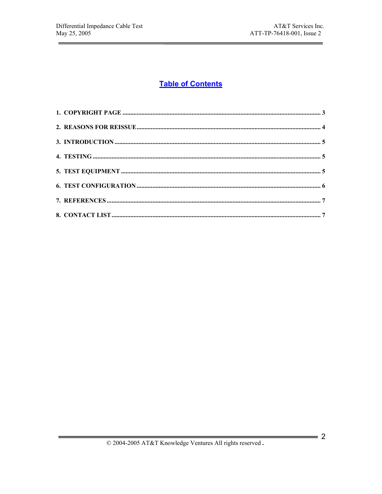$=$ 

# **Table of Contents**

 $= 2$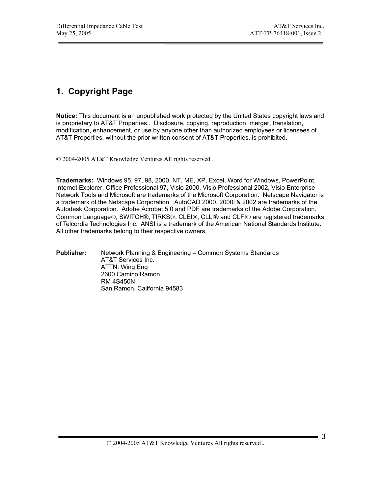# **1. Copyright Page**

**Notice:** This document is an unpublished work protected by the United States copyright laws and is proprietary to AT&T Properties.. Disclosure, copying, reproduction, merger, translation, modification, enhancement, or use by anyone other than authorized employees or licensees of AT&T Properties. without the prior written consent of AT&T Properties. is prohibited.

© 2004-2005 AT&T Knowledge Ventures All rights reserved .

**Trademarks:** Windows 95, 97, 98, 2000, NT, ME, XP, Excel, Word for Windows, PowerPoint, Internet Explorer, Office Professional 97, Visio 2000, Visio Professional 2002, Visio Enterprise Network Tools and Microsoft are trademarks of the Microsoft Corporation. Netscape Navigator is a trademark of the Netscape Corporation. AutoCAD 2000, 2000i & 2002 are trademarks of the Autodesk Corporation. Adobe Acrobat 5.0 and PDF are trademarks of the Adobe Corporation. Common Language®, SWITCH®, TIRKS®, CLEI®, CLLI® and CLFI® are registered trademarks of Telcordia Technologies Inc. ANSI is a trademark of the American National Standards Institute. All other trademarks belong to their respective owners.

#### **Publisher:** Network Planning & Engineering – Common Systems Standards AT&T Services Inc. ATTN: Wing Eng 2600 Camino Ramon RM 4S450N San Ramon, California 94583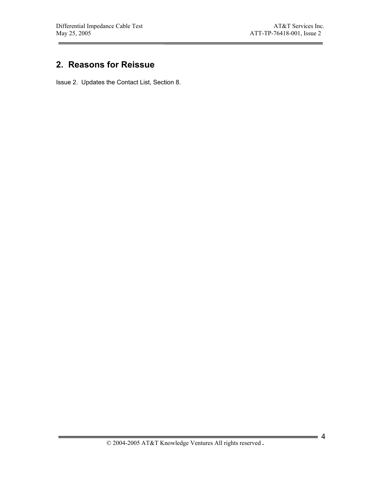# **2. Reasons for Reissue**

Issue 2. Updates the Contact List, Section 8.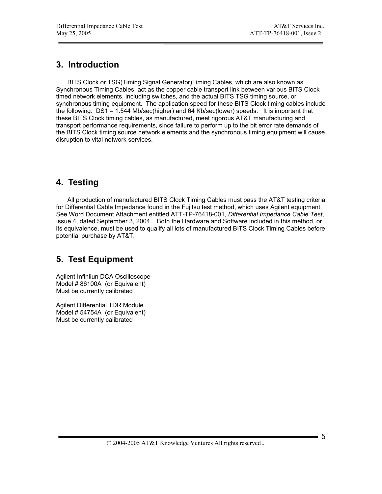# **3. Introduction**

BITS Clock or TSG(Timing Signal Generator)Timing Cables, which are also known as Synchronous Timing Cables, act as the copper cable transport link between various BITS Clock timed network elements, including switches, and the actual BITS TSG timing source, or synchronous timing equipment. The application speed for these BITS Clock timing cables include the following: DS1 – 1.544 Mb/sec(higher) and 64 Kb/sec(lower) speeds. It is important that these BITS Clock timing cables, as manufactured, meet rigorous AT&T manufacturing and transport performance requirements, since failure to perform up to the bit error rate demands of the BITS Clock timing source network elements and the synchronous timing equipment will cause disruption to vital network services.

# **4. Testing**

All production of manufactured BITS Clock Timing Cables must pass the AT&T testing criteria for Differential Cable Impedance found in the Fujitsu test method, which uses Agilent equipment. See Word Document Attachment entitled ATT-TP-76418-001, *Differential Impedance Cable Test*, Issue 4, dated September 3, 2004. Both the Hardware and Software included in this method, or its equivalence, must be used to qualify all lots of manufactured BITS Clock Timing Cables before potential purchase by AT&T.

### **5. Test Equipment**

Agilent Infiniiun DCA Oscilloscope Model # 86100A (or Equivalent) Must be currently calibrated

Agilent Differential TDR Module Model # 54754A (or Equivalent) Must be currently calibrated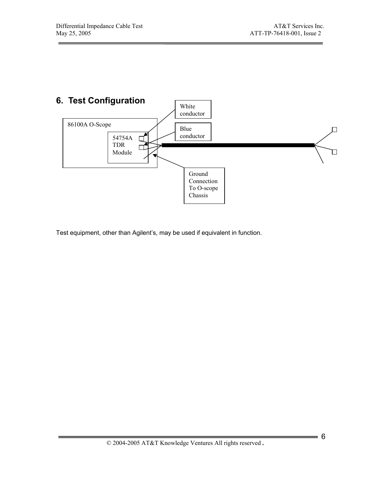

Test equipment, other than Agilent's, may be used if equivalent in function.